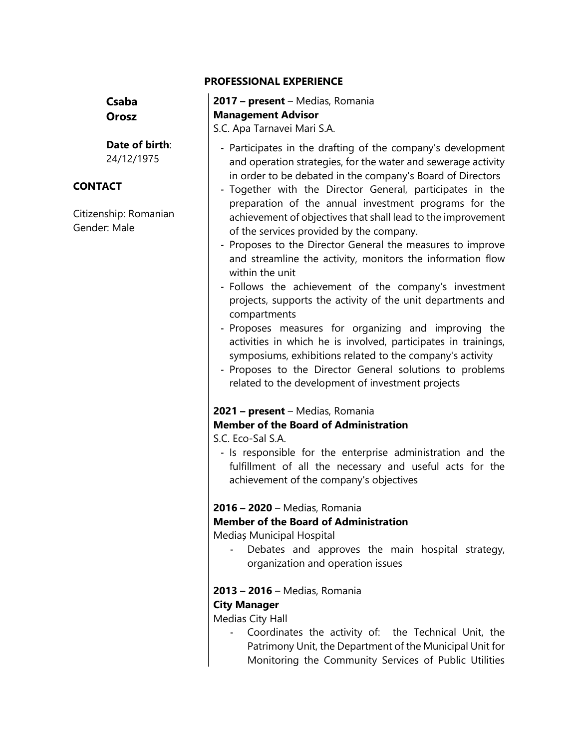#### **PROFESSIONAL EXPERIENCE**

**Csaba Orosz**

**Date of birth**: 24/12/1975

#### **CONTACT**

Citizenship: Romanian Gender: Male

**2017 – present** – Medias, Romania **Management Advisor** S.C. Apa Tarnavei Mari S.A.

- Participates in the drafting of the company's development and operation strategies, for the water and sewerage activity in order to be debated in the company's Board of Directors
- Together with the Director General, participates in the preparation of the annual investment programs for the achievement of objectives that shall lead to the improvement of the services provided by the company.
- Proposes to the Director General the measures to improve and streamline the activity, monitors the information flow within the unit
- Follows the achievement of the company's investment projects, supports the activity of the unit departments and compartments
- Proposes measures for organizing and improving the activities in which he is involved, participates in trainings, symposiums, exhibitions related to the company's activity
- Proposes to the Director General solutions to problems related to the development of investment projects

# **2021 – present** – Medias, Romania **Member of the Board of Administration**

S.C. Eco-Sal S.A.

- Is responsible for the enterprise administration and the fulfillment of all the necessary and useful acts for the achievement of the company's objectives

#### **2016 – 2020** – Medias, Romania

#### **Member of the Board of Administration**

Mediaș Municipal Hospital

Debates and approves the main hospital strategy, organization and operation issues

#### **2013 – 2016** – Medias, Romania

# **City Manager**

Medias City Hall

- Coordinates the activity of: the Technical Unit, the Patrimony Unit, the Department of the Municipal Unit for Monitoring the Community Services of Public Utilities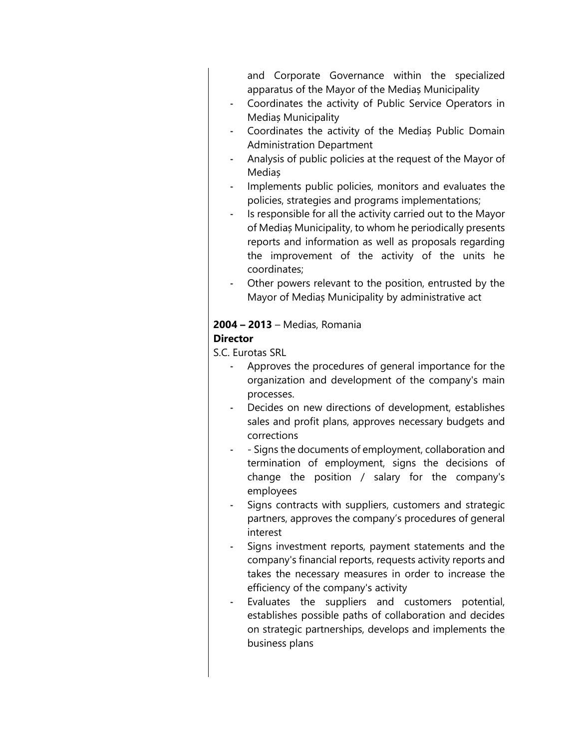and Corporate Governance within the specialized apparatus of the Mayor of the Mediaș Municipality

- Coordinates the activity of Public Service Operators in Mediaș Municipality
- Coordinates the activity of the Medias Public Domain Administration Department
- Analysis of public policies at the request of the Mayor of Mediaș
- Implements public policies, monitors and evaluates the policies, strategies and programs implementations;
- Is responsible for all the activity carried out to the Mayor of Mediaș Municipality, to whom he periodically presents reports and information as well as proposals regarding the improvement of the activity of the units he coordinates;
- Other powers relevant to the position, entrusted by the Mayor of Mediaș Municipality by administrative act

#### **2004 – 2013** – Medias, Romania **Director**

S.C. Eurotas SRL

- Approves the procedures of general importance for the organization and development of the company's main processes.
- Decides on new directions of development, establishes sales and profit plans, approves necessary budgets and corrections
- Signs the documents of employment, collaboration and termination of employment, signs the decisions of change the position / salary for the company's employees
- Signs contracts with suppliers, customers and strategic partners, approves the company's procedures of general interest
- Signs investment reports, payment statements and the company's financial reports, requests activity reports and takes the necessary measures in order to increase the efficiency of the company's activity
- Evaluates the suppliers and customers potential, establishes possible paths of collaboration and decides on strategic partnerships, develops and implements the business plans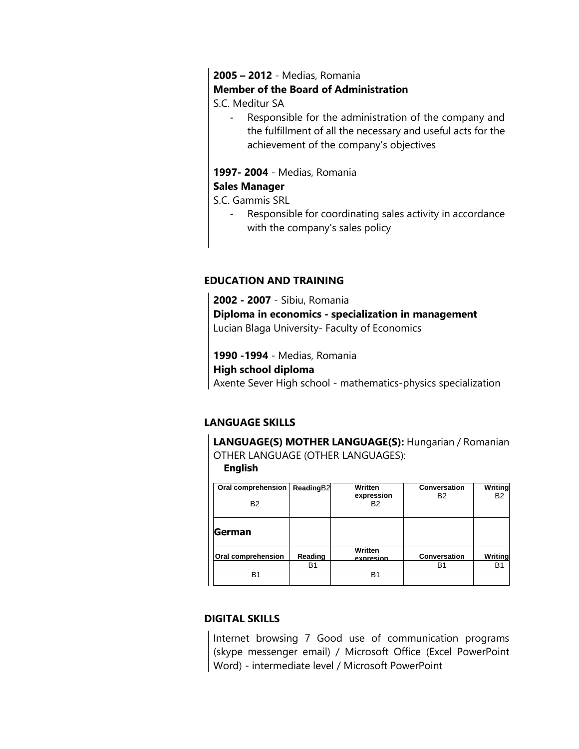# **2005 – 2012** - Medias, Romania

#### **Member of the Board of Administration**

S.C. Meditur SA

- Responsible for the administration of the company and the fulfillment of all the necessary and useful acts for the achievement of the company's objectives

#### **1997- 2004** - Medias, Romania

# **Sales Manager**

S.C. Gammis SRL

- Responsible for coordinating sales activity in accordance with the company's sales policy

## **EDUCATION AND TRAINING**

**2002 - 2007** - Sibiu, Romania **Diploma in economics - specialization in management** Lucian Blaga University- Faculty of Economics

**1990 -1994** - Medias, Romania

#### **High school diploma**

Axente Sever High school - mathematics-physics specialization

# **LANGUAGE SKILLS**

**LANGUAGE(S) MOTHER LANGUAGE(S):** Hungarian / Romanian OTHER LANGUAGE (OTHER LANGUAGES):

#### **English**

| Oral comprehension<br><b>B2</b> | ReadingB2                 | Written<br>expression<br><b>B2</b> | <b>Conversation</b><br>B <sub>2</sub> | Writing<br><b>B2</b> |
|---------------------------------|---------------------------|------------------------------------|---------------------------------------|----------------------|
| <b>German</b>                   |                           |                                    |                                       |                      |
| Oral comprehension              | Reading<br>B <sub>1</sub> | Written<br>expresion               | <b>Conversation</b><br><b>B1</b>      | Writina<br>B1        |
| B1                              |                           | B1                                 |                                       |                      |

# **DIGITAL SKILLS**

Internet browsing 7 Good use of communication programs (skype messenger email) / Microsoft Office (Excel PowerPoint Word) - intermediate level / Microsoft PowerPoint